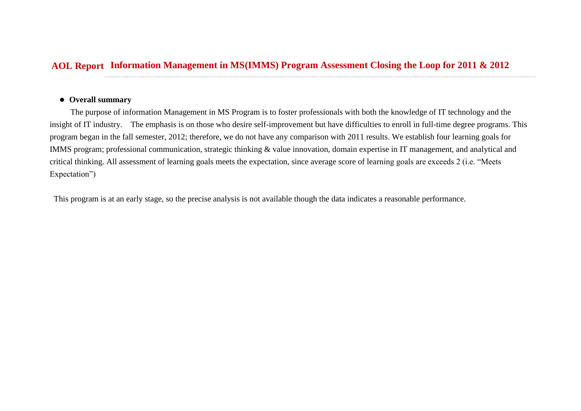## **Information Management in MS(IMMS) Program Assessment Closing the Loop for 2011 & 2012 AOL Report**

## **Overall summary**

The purpose of information Management in MS Program is to foster professionals with both the knowledge of IT technology and the insight of IT industry. The emphasis is on those who desire self-improvement but have difficulties to enroll in full-time degree programs. This program began in the fall semester, 2012; therefore, we do not have any comparison with 2011 results. We establish four learning goals for IMMS program; professional communication, strategic thinking & value innovation, domain expertise in IT management, and analytical and critical thinking. All assessment of learning goals meets the expectation, since average score of learning goals are exceeds 2 (i.e. "Meets Expectation")

This program is at an early stage, so the precise analysis is not available though the data indicates a reasonable performance.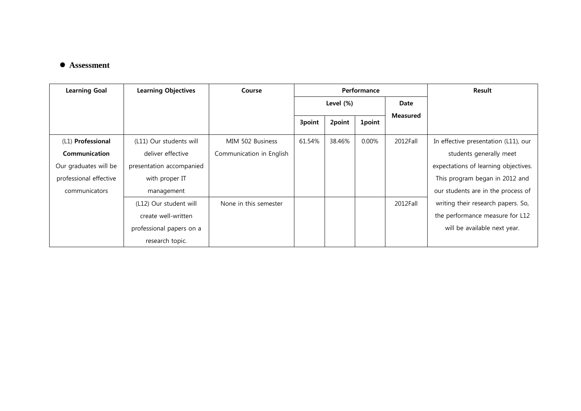## **Assessment**

| <b>Learning Goal</b>   | <b>Learning Objectives</b> | Course                   | Performance |        |               |                 | Result                               |
|------------------------|----------------------------|--------------------------|-------------|--------|---------------|-----------------|--------------------------------------|
|                        |                            |                          | Level (%)   |        |               | Date            |                                      |
|                        |                            |                          | 3point      | 2point | <b>1point</b> | <b>Measured</b> |                                      |
| (L1) Professional      | (L11) Our students will    | MIM 502 Business         | 61.54%      | 38.46% | $0.00\%$      | 2012Fall        | In effective presentation (L11), our |
| Communication          | deliver effective          | Communication in English |             |        |               |                 | students generally meet              |
| Our graduates will be  | presentation accompanied   |                          |             |        |               |                 | expectations of learning objectives. |
| professional effective | with proper IT             |                          |             |        |               |                 | This program began in 2012 and       |
| communicators          | management                 |                          |             |        |               |                 | our students are in the process of   |
|                        | (L12) Our student will     | None in this semester    |             |        |               | 2012Fall        | writing their research papers. So,   |
|                        | create well-written        |                          |             |        |               |                 | the performance measure for L12      |
|                        | professional papers on a   |                          |             |        |               |                 | will be available next year.         |
|                        | research topic.            |                          |             |        |               |                 |                                      |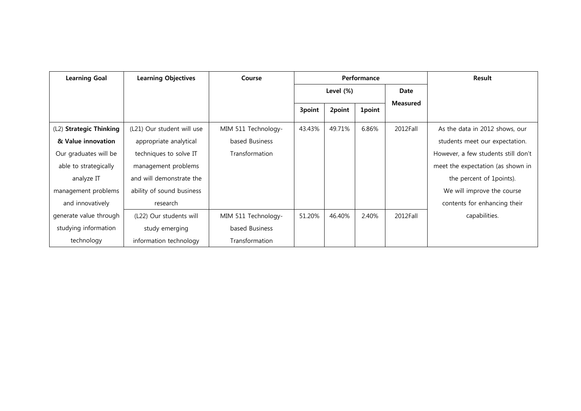| <b>Learning Goal</b>    | <b>Learning Objectives</b> | Course                | Performance  |        |               |                 | Result                              |
|-------------------------|----------------------------|-----------------------|--------------|--------|---------------|-----------------|-------------------------------------|
|                         |                            |                       | Level $(\%)$ |        |               | Date            |                                     |
|                         |                            |                       | 3point       | 2point | <b>1point</b> | <b>Measured</b> |                                     |
| (L2) Strategic Thinking | (L21) Our student will use | MIM 511 Technology-   | 43.43%       | 49.71% | 6.86%         | 2012Fall        | As the data in 2012 shows, our      |
| & Value innovation      | appropriate analytical     | based Business        |              |        |               |                 | students meet our expectation.      |
| Our graduates will be   | techniques to solve IT     | <b>Transformation</b> |              |        |               |                 | However, a few students still don't |
| able to strategically   | management problems        |                       |              |        |               |                 | meet the expectation (as shown in   |
| analyze IT              | and will demonstrate the   |                       |              |        |               |                 | the percent of 1 points).           |
| management problems     | ability of sound business  |                       |              |        |               |                 | We will improve the course          |
| and innovatively        | research                   |                       |              |        |               |                 | contents for enhancing their        |
| generate value through  | (L22) Our students will    | MIM 511 Technology-   | 51.20%       | 46.40% | 2.40%         | 2012Fall        | capabilities.                       |
| studying information    | study emerging             | based Business        |              |        |               |                 |                                     |
| technology              | information technology     | <b>Transformation</b> |              |        |               |                 |                                     |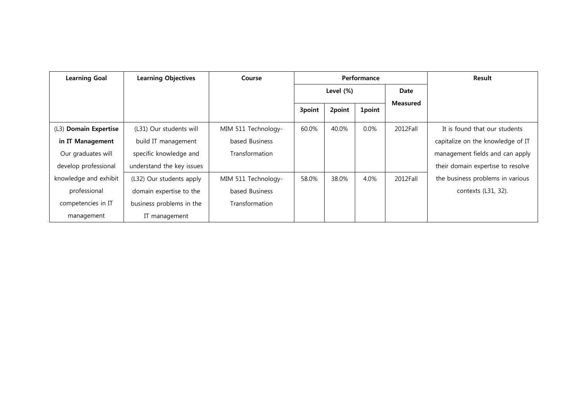| <b>Learning Goal</b>  | <b>Learning Objectives</b> | Course                | Performance  |        |               |                 | Result                            |
|-----------------------|----------------------------|-----------------------|--------------|--------|---------------|-----------------|-----------------------------------|
|                       |                            |                       | Level $(\%)$ |        |               | Date            |                                   |
|                       |                            |                       | 3point       | 2point | <b>1point</b> | <b>Measured</b> |                                   |
| (L3) Domain Expertise | (L31) Our students will    | MIM 511 Technology-   | 60.0%        | 40.0%  | $0.0\%$       | 2012Fall        | It is found that our students     |
| in IT Management      | build IT management        | based Business        |              |        |               |                 | capitalize on the knowledge of IT |
| Our graduates will    | specific knowledge and     | Transformation        |              |        |               |                 | management fields and can apply   |
| develop professional  | understand the key issues  |                       |              |        |               |                 | their domain expertise to resolve |
| knowledge and exhibit | (L32) Our students apply   | MIM 511 Technology-   | 58.0%        | 38.0%  | 4.0%          | 2012Fall        | the business problems in various  |
| professional          | domain expertise to the    | based Business        |              |        |               |                 | contexts (L31, 32).               |
| competencies in IT    | business problems in the   | <b>Transformation</b> |              |        |               |                 |                                   |
| management            | IT management              |                       |              |        |               |                 |                                   |